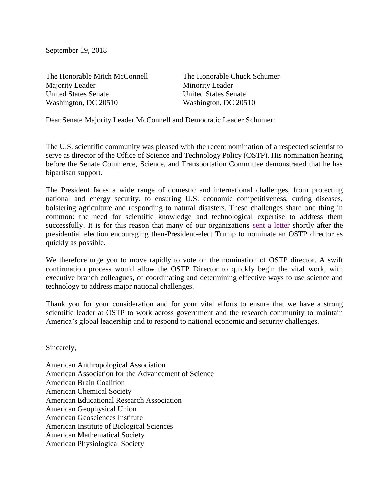September 19, 2018

The Honorable Mitch McConnell The Honorable Chuck Schumer Majority Leader Minority Leader United States Senate United States Senate Washington, DC 20510 Washington, DC 20510

Dear Senate Majority Leader McConnell and Democratic Leader Schumer:

The U.S. scientific community was pleased with the recent nomination of a respected scientist to serve as director of the Office of Science and Technology Policy (OSTP). His nomination hearing before the Senate Commerce, Science, and Transportation Committee demonstrated that he has bipartisan support.

The President faces a wide range of domestic and international challenges, from protecting national and energy security, to ensuring U.S. economic competitiveness, curing diseases, bolstering agriculture and responding to natural disasters. These challenges share one thing in common: the need for scientific knowledge and technological expertise to address them successfully. It is for this reason that many of our organizations [sent a letter](https://mcmprodaaas.s3.amazonaws.com/s3fs-public/content_files/Multisociety%20CEO%20Transition%20Letter.pdf) shortly after the presidential election encouraging then-President-elect Trump to nominate an OSTP director as quickly as possible.

We therefore urge you to move rapidly to vote on the nomination of OSTP director. A swift confirmation process would allow the OSTP Director to quickly begin the vital work, with executive branch colleagues, of coordinating and determining effective ways to use science and technology to address major national challenges.

Thank you for your consideration and for your vital efforts to ensure that we have a strong scientific leader at OSTP to work across government and the research community to maintain America's global leadership and to respond to national economic and security challenges.

Sincerely,

American Anthropological Association American Association for the Advancement of Science American Brain Coalition American Chemical Society American Educational Research Association American Geophysical Union American Geosciences Institute American Institute of Biological Sciences American Mathematical Society American Physiological Society